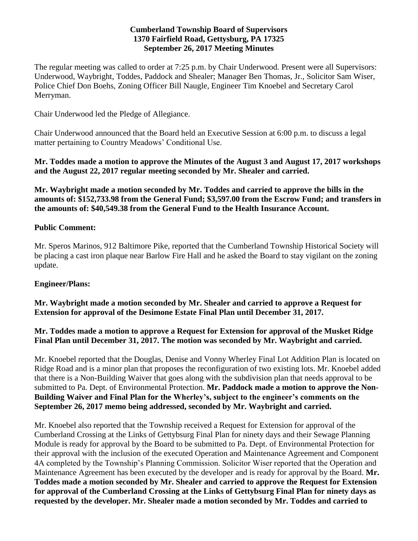#### **Cumberland Township Board of Supervisors 1370 Fairfield Road, Gettysburg, PA 17325 September 26, 2017 Meeting Minutes**

The regular meeting was called to order at 7:25 p.m. by Chair Underwood. Present were all Supervisors: Underwood, Waybright, Toddes, Paddock and Shealer; Manager Ben Thomas, Jr., Solicitor Sam Wiser, Police Chief Don Boehs, Zoning Officer Bill Naugle, Engineer Tim Knoebel and Secretary Carol Merryman.

Chair Underwood led the Pledge of Allegiance.

Chair Underwood announced that the Board held an Executive Session at 6:00 p.m. to discuss a legal matter pertaining to Country Meadows' Conditional Use.

**Mr. Toddes made a motion to approve the Minutes of the August 3 and August 17, 2017 workshops and the August 22, 2017 regular meeting seconded by Mr. Shealer and carried.**

**Mr. Waybright made a motion seconded by Mr. Toddes and carried to approve the bills in the amounts of: \$152,733.98 from the General Fund; \$3,597.00 from the Escrow Fund; and transfers in the amounts of: \$40,549.38 from the General Fund to the Health Insurance Account.**

### **Public Comment:**

Mr. Speros Marinos, 912 Baltimore Pike, reported that the Cumberland Township Historical Society will be placing a cast iron plaque near Barlow Fire Hall and he asked the Board to stay vigilant on the zoning update.

### **Engineer/Plans:**

**Mr. Waybright made a motion seconded by Mr. Shealer and carried to approve a Request for Extension for approval of the Desimone Estate Final Plan until December 31, 2017.** 

### **Mr. Toddes made a motion to approve a Request for Extension for approval of the Musket Ridge Final Plan until December 31, 2017. The motion was seconded by Mr. Waybright and carried.**

Mr. Knoebel reported that the Douglas, Denise and Vonny Wherley Final Lot Addition Plan is located on Ridge Road and is a minor plan that proposes the reconfiguration of two existing lots. Mr. Knoebel added that there is a Non-Building Waiver that goes along with the subdivision plan that needs approval to be submitted to Pa. Dept. of Environmental Protection. **Mr. Paddock made a motion to approve the Non-Building Waiver and Final Plan for the Wherley's, subject to the engineer's comments on the September 26, 2017 memo being addressed, seconded by Mr. Waybright and carried.**

Mr. Knoebel also reported that the Township received a Request for Extension for approval of the Cumberland Crossing at the Links of Gettybsurg Final Plan for ninety days and their Sewage Planning Module is ready for approval by the Board to be submitted to Pa. Dept. of Environmental Protection for their approval with the inclusion of the executed Operation and Maintenance Agreement and Component 4A completed by the Township's Planning Commission. Solicitor Wiser reported that the Operation and Maintenance Agreement has been executed by the developer and is ready for approval by the Board. **Mr. Toddes made a motion seconded by Mr. Shealer and carried to approve the Request for Extension for approval of the Cumberland Crossing at the Links of Gettybsurg Final Plan for ninety days as requested by the developer. Mr. Shealer made a motion seconded by Mr. Toddes and carried to**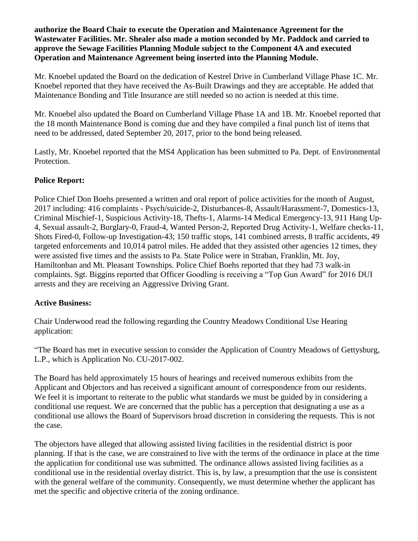**authorize the Board Chair to execute the Operation and Maintenance Agreement for the Wastewater Facilities. Mr. Shealer also made a motion seconded by Mr. Paddock and carried to approve the Sewage Facilities Planning Module subject to the Component 4A and executed Operation and Maintenance Agreement being inserted into the Planning Module.** 

Mr. Knoebel updated the Board on the dedication of Kestrel Drive in Cumberland Village Phase 1C. Mr. Knoebel reported that they have received the As-Built Drawings and they are acceptable. He added that Maintenance Bonding and Title Insurance are still needed so no action is needed at this time.

Mr. Knoebel also updated the Board on Cumberland Village Phase 1A and 1B. Mr. Knoebel reported that the 18 month Maintenance Bond is coming due and they have compiled a final punch list of items that need to be addressed, dated September 20, 2017, prior to the bond being released.

Lastly, Mr. Knoebel reported that the MS4 Application has been submitted to Pa. Dept. of Environmental Protection.

## **Police Report:**

Police Chief Don Boehs presented a written and oral report of police activities for the month of August, 2017 including: 416 complaints - Psych/suicide-2, Disturbances-8, Assault/Harassment-7, Domestics-13, Criminal Mischief-1, Suspicious Activity-18, Thefts-1, Alarms-14 Medical Emergency-13, 911 Hang Up-4, Sexual assault-2, Burglary-0, Fraud-4, Wanted Person-2, Reported Drug Activity-1, Welfare checks-11, Shots Fired-0, Follow-up Investigation-43; 150 traffic stops, 141 combined arrests, 8 traffic accidents, 49 targeted enforcements and 10,014 patrol miles. He added that they assisted other agencies 12 times, they were assisted five times and the assists to Pa. State Police were in Straban, Franklin, Mt. Joy, Hamiltonban and Mt. Pleasant Townships. Police Chief Boehs reported that they had 73 walk-in complaints. Sgt. Biggins reported that Officer Goodling is receiving a "Top Gun Award" for 2016 DUI arrests and they are receiving an Aggressive Driving Grant.

### **Active Business:**

Chair Underwood read the following regarding the Country Meadows Conditional Use Hearing application:

"The Board has met in executive session to consider the Application of Country Meadows of Gettysburg, L.P., which is Application No. CU-2017-002.

The Board has held approximately 15 hours of hearings and received numerous exhibits from the Applicant and Objectors and has received a significant amount of correspondence from our residents. We feel it is important to reiterate to the public what standards we must be guided by in considering a conditional use request. We are concerned that the public has a perception that designating a use as a conditional use allows the Board of Supervisors broad discretion in considering the requests. This is not the case.

The objectors have alleged that allowing assisted living facilities in the residential district is poor planning. If that is the case, we are constrained to live with the terms of the ordinance in place at the time the application for conditional use was submitted. The ordinance allows assisted living facilities as a conditional use in the residential overlay district. This is, by law, a presumption that the use is consistent with the general welfare of the community. Consequently, we must determine whether the applicant has met the specific and objective criteria of the zoning ordinance.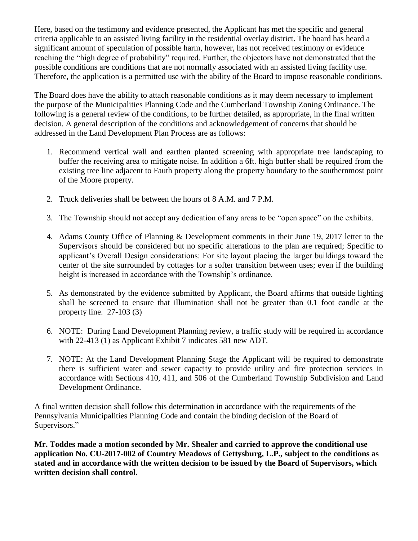Here, based on the testimony and evidence presented, the Applicant has met the specific and general criteria applicable to an assisted living facility in the residential overlay district. The board has heard a significant amount of speculation of possible harm, however, has not received testimony or evidence reaching the "high degree of probability" required. Further, the objectors have not demonstrated that the possible conditions are conditions that are not normally associated with an assisted living facility use. Therefore, the application is a permitted use with the ability of the Board to impose reasonable conditions.

The Board does have the ability to attach reasonable conditions as it may deem necessary to implement the purpose of the Municipalities Planning Code and the Cumberland Township Zoning Ordinance. The following is a general review of the conditions, to be further detailed, as appropriate, in the final written decision. A general description of the conditions and acknowledgement of concerns that should be addressed in the Land Development Plan Process are as follows:

- 1. Recommend vertical wall and earthen planted screening with appropriate tree landscaping to buffer the receiving area to mitigate noise. In addition a 6ft. high buffer shall be required from the existing tree line adjacent to Fauth property along the property boundary to the southernmost point of the Moore property.
- 2. Truck deliveries shall be between the hours of 8 A.M. and 7 P.M.
- 3. The Township should not accept any dedication of any areas to be "open space" on the exhibits.
- 4. Adams County Office of Planning & Development comments in their June 19, 2017 letter to the Supervisors should be considered but no specific alterations to the plan are required; Specific to applicant's Overall Design considerations: For site layout placing the larger buildings toward the center of the site surrounded by cottages for a softer transition between uses; even if the building height is increased in accordance with the Township's ordinance.
- 5. As demonstrated by the evidence submitted by Applicant, the Board affirms that outside lighting shall be screened to ensure that illumination shall not be greater than 0.1 foot candle at the property line. 27-103 (3)
- 6. NOTE: During Land Development Planning review, a traffic study will be required in accordance with 22-413 (1) as Applicant Exhibit 7 indicates 581 new ADT.
- 7. NOTE: At the Land Development Planning Stage the Applicant will be required to demonstrate there is sufficient water and sewer capacity to provide utility and fire protection services in accordance with Sections 410, 411, and 506 of the Cumberland Township Subdivision and Land Development Ordinance.

A final written decision shall follow this determination in accordance with the requirements of the Pennsylvania Municipalities Planning Code and contain the binding decision of the Board of Supervisors."

**Mr. Toddes made a motion seconded by Mr. Shealer and carried to approve the conditional use application No. CU-2017-002 of Country Meadows of Gettysburg, L.P., subject to the conditions as stated and in accordance with the written decision to be issued by the Board of Supervisors, which written decision shall control.**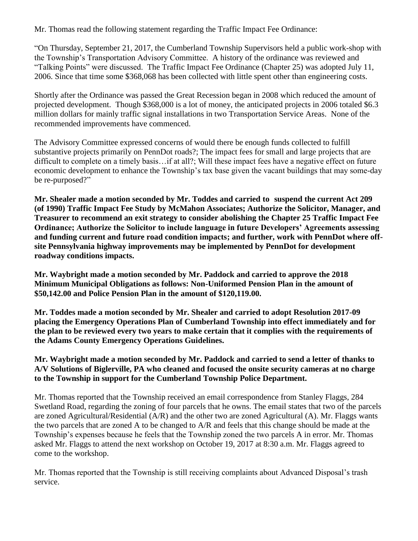Mr. Thomas read the following statement regarding the Traffic Impact Fee Ordinance:

"On Thursday, September 21, 2017, the Cumberland Township Supervisors held a public work-shop with the Township's Transportation Advisory Committee. A history of the ordinance was reviewed and "Talking Points" were discussed. The Traffic Impact Fee Ordinance (Chapter 25) was adopted July 11, 2006. Since that time some \$368,068 has been collected with little spent other than engineering costs.

Shortly after the Ordinance was passed the Great Recession began in 2008 which reduced the amount of projected development. Though \$368,000 is a lot of money, the anticipated projects in 2006 totaled \$6.3 million dollars for mainly traffic signal installations in two Transportation Service Areas. None of the recommended improvements have commenced.

The Advisory Committee expressed concerns of would there be enough funds collected to fulfill substantive projects primarily on PennDot roads?; The impact fees for small and large projects that are difficult to complete on a timely basis…if at all?; Will these impact fees have a negative effect on future economic development to enhance the Township's tax base given the vacant buildings that may some-day be re-purposed?"

**Mr. Shealer made a motion seconded by Mr. Toddes and carried to suspend the current Act 209 (of 1990) Traffic Impact Fee Study by McMahon Associates; Authorize the Solicitor, Manager, and Treasurer to recommend an exit strategy to consider abolishing the Chapter 25 Traffic Impact Fee Ordinance; Authorize the Solicitor to include language in future Developers' Agreements assessing and funding current and future road condition impacts; and further, work with PennDot where offsite Pennsylvania highway improvements may be implemented by PennDot for development roadway conditions impacts.**

**Mr. Waybright made a motion seconded by Mr. Paddock and carried to approve the 2018 Minimum Municipal Obligations as follows: Non-Uniformed Pension Plan in the amount of \$50,142.00 and Police Pension Plan in the amount of \$120,119.00.**

**Mr. Toddes made a motion seconded by Mr. Shealer and carried to adopt Resolution 2017-09 placing the Emergency Operations Plan of Cumberland Township into effect immediately and for the plan to be reviewed every two years to make certain that it complies with the requirements of the Adams County Emergency Operations Guidelines.**

**Mr. Waybright made a motion seconded by Mr. Paddock and carried to send a letter of thanks to A/V Solutions of Biglerville, PA who cleaned and focused the onsite security cameras at no charge to the Township in support for the Cumberland Township Police Department.**

Mr. Thomas reported that the Township received an email correspondence from Stanley Flaggs, 284 Swetland Road, regarding the zoning of four parcels that he owns. The email states that two of the parcels are zoned Agricultural/Residential (A/R) and the other two are zoned Agricultural (A). Mr. Flaggs wants the two parcels that are zoned A to be changed to A/R and feels that this change should be made at the Township's expenses because he feels that the Township zoned the two parcels A in error. Mr. Thomas asked Mr. Flaggs to attend the next workshop on October 19, 2017 at 8:30 a.m. Mr. Flaggs agreed to come to the workshop.

Mr. Thomas reported that the Township is still receiving complaints about Advanced Disposal's trash service.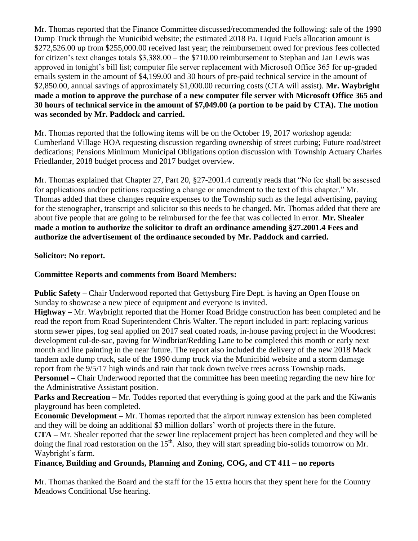Mr. Thomas reported that the Finance Committee discussed/recommended the following: sale of the 1990 Dump Truck through the Municibid website; the estimated 2018 Pa. Liquid Fuels allocation amount is \$272,526.00 up from \$255,000.00 received last year; the reimbursement owed for previous fees collected for citizen's text changes totals \$3,388.00 – the \$710.00 reimbursement to Stephan and Jan Lewis was approved in tonight's bill list; computer file server replacement with Microsoft Office 365 for up-graded emails system in the amount of \$4,199.00 and 30 hours of pre-paid technical service in the amount of \$2,850.00, annual savings of approximately \$1,000.00 recurring costs (CTA will assist). **Mr. Waybright made a motion to approve the purchase of a new computer file server with Microsoft Office 365 and 30 hours of technical service in the amount of \$7,049.00 (a portion to be paid by CTA). The motion was seconded by Mr. Paddock and carried.**

Mr. Thomas reported that the following items will be on the October 19, 2017 workshop agenda: Cumberland Village HOA requesting discussion regarding ownership of street curbing; Future road/street dedications; Pensions Minimum Municipal Obligations option discussion with Township Actuary Charles Friedlander, 2018 budget process and 2017 budget overview.

Mr. Thomas explained that Chapter 27, Part 20, §27-2001.4 currently reads that "No fee shall be assessed for applications and/or petitions requesting a change or amendment to the text of this chapter." Mr. Thomas added that these changes require expenses to the Township such as the legal advertising, paying for the stenographer, transcript and solicitor so this needs to be changed. Mr. Thomas added that there are about five people that are going to be reimbursed for the fee that was collected in error. **Mr. Shealer made a motion to authorize the solicitor to draft an ordinance amending §27.2001.4 Fees and authorize the advertisement of the ordinance seconded by Mr. Paddock and carried.**

## **Solicitor: No report.**

# **Committee Reports and comments from Board Members:**

**Public Safety –** Chair Underwood reported that Gettysburg Fire Dept. is having an Open House on Sunday to showcase a new piece of equipment and everyone is invited.

**Highway –** Mr. Waybright reported that the Horner Road Bridge construction has been completed and he read the report from Road Superintendent Chris Walter. The report included in part: replacing various storm sewer pipes, fog seal applied on 2017 seal coated roads, in-house paving project in the Woodcrest development cul-de-sac, paving for Windbriar/Redding Lane to be completed this month or early next month and line painting in the near future. The report also included the delivery of the new 2018 Mack tandem axle dump truck, sale of the 1990 dump truck via the Municibid website and a storm damage report from the 9/5/17 high winds and rain that took down twelve trees across Township roads. **Personnel –** Chair Underwood reported that the committee has been meeting regarding the new hire for

the Administrative Assistant position.

**Parks and Recreation** – Mr. Toddes reported that everything is going good at the park and the Kiwanis playground has been completed.

**Economic Development –** Mr. Thomas reported that the airport runway extension has been completed and they will be doing an additional \$3 million dollars' worth of projects there in the future.

**CTA –** Mr. Shealer reported that the sewer line replacement project has been completed and they will be doing the final road restoration on the  $15<sup>th</sup>$ . Also, they will start spreading bio-solids tomorrow on Mr. Waybright's farm.

# **Finance, Building and Grounds, Planning and Zoning, COG, and CT 411 – no reports**

Mr. Thomas thanked the Board and the staff for the 15 extra hours that they spent here for the Country Meadows Conditional Use hearing.